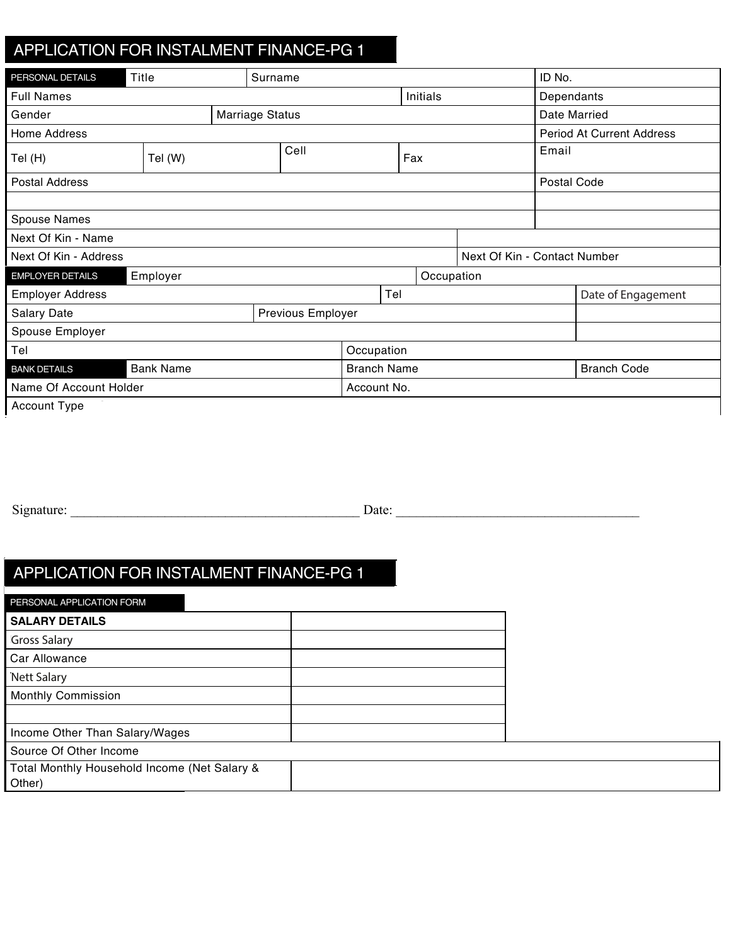## ADDUCATION FOD IN OTAL MENT FINANCE BOL APPLICATION FOR INSTALMENT FINANCE-PG 1 Gender Marriage Status Date Married APPLICATION FOR INSTALMENT FINANCE-PG 1

| PERSONAL DETAILS          | Title            |  | Surname           |                    |     |                 |              |                              | ID No.             |                           |
|---------------------------|------------------|--|-------------------|--------------------|-----|-----------------|--------------|------------------------------|--------------------|---------------------------|
| <b>Full Names</b>         |                  |  |                   |                    |     | <b>Initials</b> |              |                              | Dependants         |                           |
| Marriage Status<br>Gender |                  |  |                   |                    |     |                 | Date Married |                              |                    |                           |
| Home Address              |                  |  |                   |                    |     |                 |              |                              |                    | Period At Current Address |
| Tel (H)                   | Tel (W)          |  | Cell              |                    | Fax |                 | Email        |                              |                    |                           |
| Postal Address            |                  |  |                   |                    |     |                 |              |                              | Postal Code        |                           |
| Spouse Names              |                  |  |                   |                    |     |                 |              |                              |                    |                           |
| Next Of Kin - Name        |                  |  |                   |                    |     |                 |              |                              |                    |                           |
| Next Of Kin - Address     |                  |  |                   |                    |     |                 |              | Next Of Kin - Contact Number |                    |                           |
| <b>EMPLOYER DETAILS</b>   | Employer         |  |                   |                    |     | Occupation      |              |                              |                    |                           |
| <b>Employer Address</b>   |                  |  |                   |                    | Tel |                 |              |                              | Date of Engagement |                           |
| <b>Salary Date</b>        |                  |  | Previous Employer |                    |     |                 |              |                              |                    |                           |
| Spouse Employer           |                  |  |                   |                    |     |                 |              |                              |                    |                           |
| Tel                       |                  |  |                   | Occupation         |     |                 |              |                              |                    |                           |
| <b>BANK DETAILS</b>       | <b>Bank Name</b> |  |                   | <b>Branch Name</b> |     |                 |              | <b>Branch Code</b>           |                    |                           |
| Name Of Account Holder    |                  |  |                   | Account No.        |     |                 |              |                              |                    |                           |
| Account Type              |                  |  |                   |                    |     |                 |              |                              |                    |                           |

Used Model Make M&M Code

Previous Address Period At Previous Address

LANGUAGE PREFERENCE Language Preference BOND DETAILS Bond Holder Amount Outstanding Signature: \_\_\_\_\_\_\_\_\_\_\_\_\_\_\_\_\_\_\_\_\_\_\_\_\_\_\_\_\_\_\_\_\_\_\_\_\_\_\_\_\_\_\_ Date: \_\_\_\_\_\_\_\_\_\_\_\_\_\_\_\_\_\_\_\_\_\_\_\_\_\_\_\_\_\_\_\_\_\_\_\_  $Signature:$   $\Box$  $E_{\text{E}}$  details  $\frac{1}{2}$  details  $\frac{1}{2}$  details  $\frac{1}{2}$  details  $\frac{1}{2}$ 

## APPLICATION FOR INSTALMENT FINANCE-PG 1 Salary Date Previous Employer No. Of Years No. Of Years No. Of Years No. Of Years No. Of Years No. Of Years No Spot Expressed Spot Across Employer No. Of Year's Contract Contract Contract Contract Contract Contract Contract Contract Contract Contract Contract Contract Contract Contract Contract Contract Contract Contract Contract C  $\overline{I}$ APPLICATION FOR INSTALMENT FINANCE-PG 1 Spouse Employer No. Of Years and the West Employer No. Of Years and The West Employer No. Of Years and The West ADDUCATION FOD INICTALMENT FINIANOE DO APPLICATION FOR INSTALMENT FINANCE-PG 1

| PERSONAL APPLICATION FORM                    |  |
|----------------------------------------------|--|
| <b>SALARY DETAILS</b>                        |  |
| <b>Gross Salary</b>                          |  |
| Car Allowance                                |  |
| <b>Nett Salary</b>                           |  |
| <b>Monthly Commission</b>                    |  |
|                                              |  |
| Income Other Than Salary/Wages               |  |
| Source Of Other Income                       |  |
| Total Monthly Household Income (Net Salary & |  |
| Other)                                       |  |